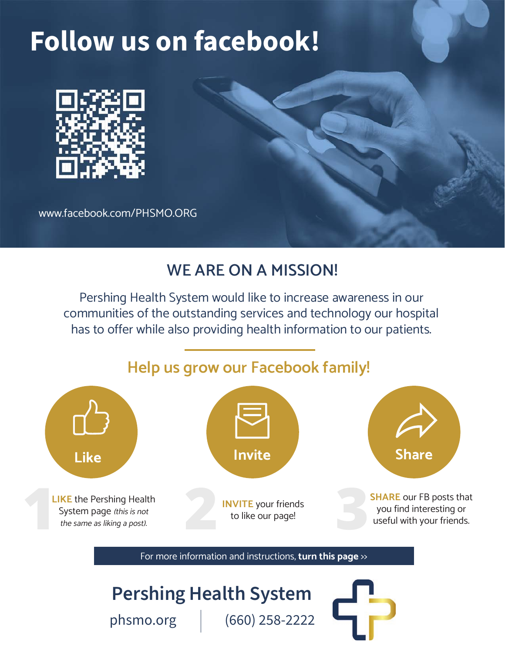# **Follow us on facebook!**



www.facebook.com/PHSMO.ORG

## **WE ARE ON A MISSION!**

Pershing Health System would like to increase awareness in our communities of the outstanding services and technology our hospital has to offer while also providing health information to our patients.

## **Help us grow our Facebook family!**